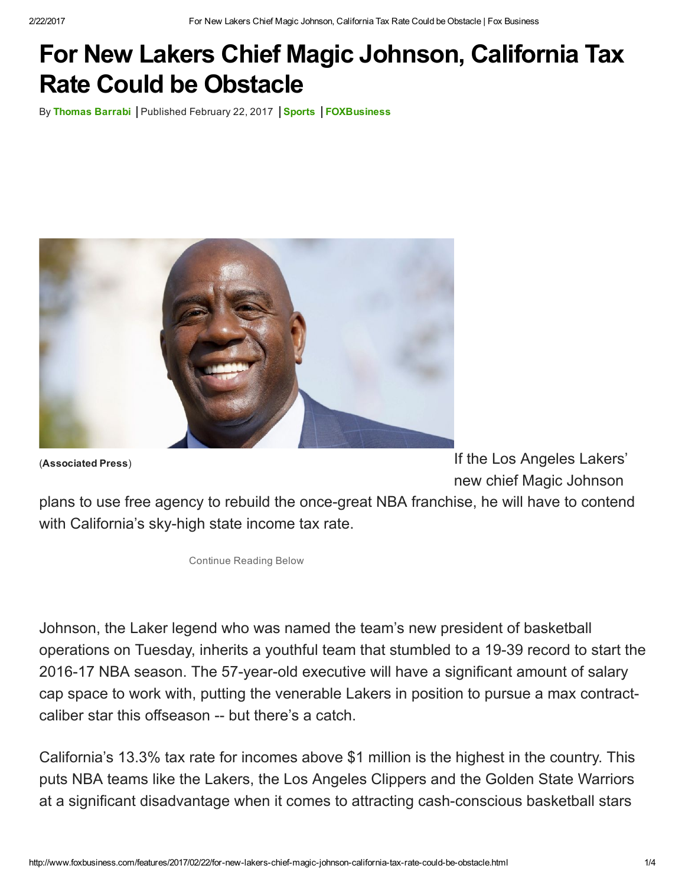## For New Lakers Chief Magic Johnson, California Tax Rate Could be Obstacle

By [Thomas](http://www.foxbusiness.com/person/b/thomas-barrabi.html) Barrabi | Published February 22, 2017 | [Sports](http://www.foxbusiness.com/category/industries/sports.html) | [FOXBusiness](http://www.foxbusiness.com/index.html)



(Associated Press)

If the Los Angeles Lakers' new chief Magic Johnson

plans to use free agency to rebuild the once-great NBA franchise, he will have to contend with California's sky-high state income tax rate.

Continue Reading Below

Johnson, the Laker legend who was named the team's new president of basketball operations on Tuesday, inherits a youthful team that stumbled to a 19-39 record to start the 2016-17 NBA season. The 57-year-old executive will have a significant amount of salary cap space to work with, putting the venerable Lakers in position to pursue a max contractcaliber star this offseason -- but there's a catch.

California's 13.3% tax rate for incomes above \$1 million is the highest in the country. This puts NBA teams like the Lakers, the Los Angeles Clippers and the Golden State Warriors at a significant disadvantage when it comes to attracting cash-conscious basketball stars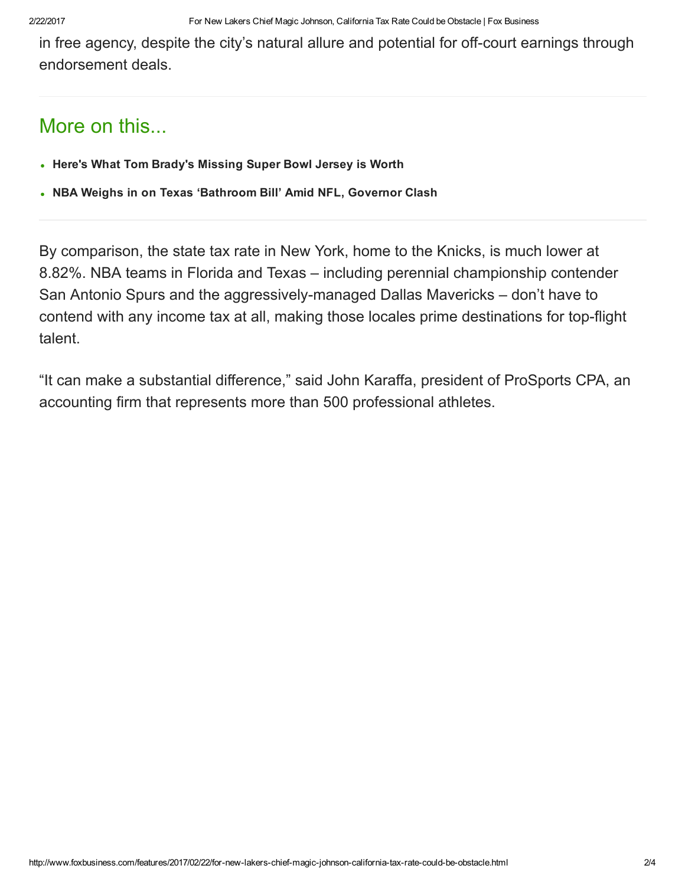in free agency, despite the city's natural allure and potential for off-court earnings through endorsement deals.

## More on this...

- Here's What Tom Brady's [Missing](http://www.foxbusiness.com/features/2017/02/21/heres-what-tom-bradys-missing-super-bowl-jersey-is-worth.html) Super Bowl Jersey is Worth
- NBA Weighs in on Texas ['Bathroom](http://www.foxbusiness.com/features/2017/02/16/after-nfl-warning-nba-weighs-in-on-texas-bathroom-bill.html) Bill' Amid NFL, Governor Clash

By comparison, the state tax rate in New York, home to the Knicks, is much lower at 8.82%. NBA teams in Florida and Texas – including perennial championship contender San Antonio Spurs and the aggressivelymanaged Dallas Mavericks – don't have to contend with any income tax at all, making those locales prime destinations for top-flight talent.

"It can make a substantial difference," said John Karaffa, president of ProSports CPA, an accounting firm that represents more than 500 professional athletes.